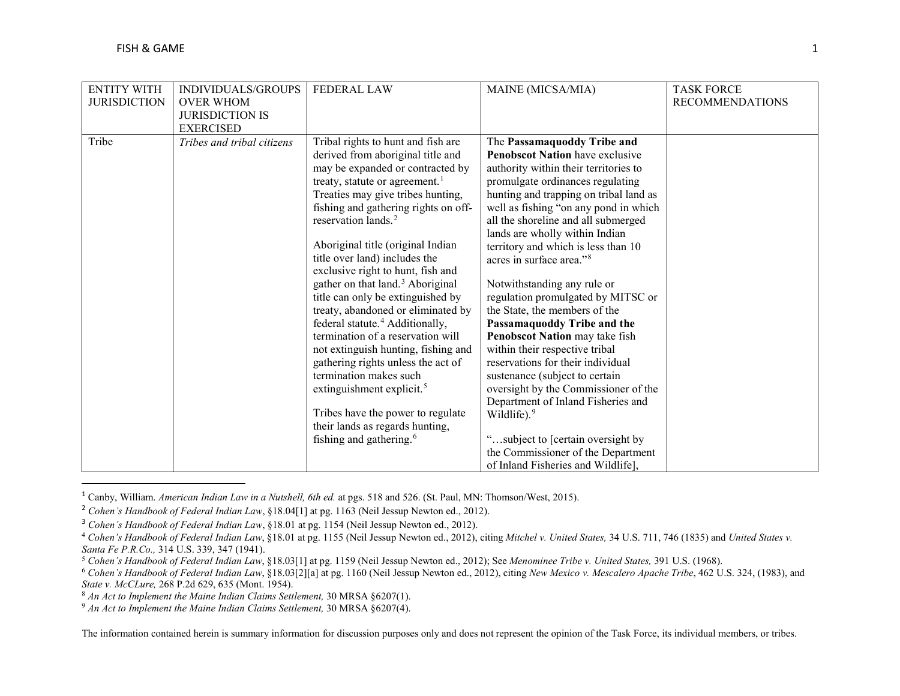<span id="page-0-7"></span><span id="page-0-6"></span><span id="page-0-5"></span><span id="page-0-4"></span><span id="page-0-3"></span><span id="page-0-2"></span><span id="page-0-1"></span><span id="page-0-0"></span>

| <b>ENTITY WITH</b>  | INDIVIDUALS/GROUPS         | <b>FEDERAL LAW</b>                           | MAINE (MICSA/MIA)                      | <b>TASK FORCE</b>      |
|---------------------|----------------------------|----------------------------------------------|----------------------------------------|------------------------|
| <b>JURISDICTION</b> | <b>OVER WHOM</b>           |                                              |                                        | <b>RECOMMENDATIONS</b> |
|                     | <b>JURISDICTION IS</b>     |                                              |                                        |                        |
|                     | <b>EXERCISED</b>           |                                              |                                        |                        |
| Tribe               | Tribes and tribal citizens | Tribal rights to hunt and fish are           | The Passamaquoddy Tribe and            |                        |
|                     |                            | derived from aboriginal title and            | <b>Penobscot Nation</b> have exclusive |                        |
|                     |                            | may be expanded or contracted by             | authority within their territories to  |                        |
|                     |                            | treaty, statute or agreement. <sup>1</sup>   | promulgate ordinances regulating       |                        |
|                     |                            | Treaties may give tribes hunting,            | hunting and trapping on tribal land as |                        |
|                     |                            | fishing and gathering rights on off-         | well as fishing "on any pond in which  |                        |
|                     |                            | reservation lands. <sup>2</sup>              | all the shoreline and all submerged    |                        |
|                     |                            |                                              | lands are wholly within Indian         |                        |
|                     |                            | Aboriginal title (original Indian            | territory and which is less than 10    |                        |
|                     |                            | title over land) includes the                | acres in surface area." <sup>8</sup>   |                        |
|                     |                            | exclusive right to hunt, fish and            |                                        |                        |
|                     |                            | gather on that land. <sup>3</sup> Aboriginal | Notwithstanding any rule or            |                        |
|                     |                            | title can only be extinguished by            | regulation promulgated by MITSC or     |                        |
|                     |                            | treaty, abandoned or eliminated by           | the State, the members of the          |                        |
|                     |                            | federal statute. <sup>4</sup> Additionally,  | Passamaquoddy Tribe and the            |                        |
|                     |                            | termination of a reservation will            | Penobscot Nation may take fish         |                        |
|                     |                            | not extinguish hunting, fishing and          | within their respective tribal         |                        |
|                     |                            | gathering rights unless the act of           | reservations for their individual      |                        |
|                     |                            | termination makes such                       | sustenance (subject to certain         |                        |
|                     |                            | extinguishment explicit. <sup>5</sup>        | oversight by the Commissioner of the   |                        |
|                     |                            |                                              | Department of Inland Fisheries and     |                        |
|                     |                            | Tribes have the power to regulate            | Wildlife). <sup>9</sup>                |                        |
|                     |                            | their lands as regards hunting,              |                                        |                        |
|                     |                            | fishing and gathering. <sup>6</sup>          | "subject to [certain oversight by      |                        |
|                     |                            |                                              | the Commissioner of the Department     |                        |
|                     |                            |                                              | of Inland Fisheries and Wildlife],     |                        |

 <sup>1</sup> Canby, William. *American Indian Law in a Nutshell, 6th ed.* at pgs. 518 and 526. (St. Paul, MN: Thomson/West, 2015).

The information contained herein is summary information for discussion purposes only and does not represent the opinion of the Task Force, its individual members, or tribes.

<sup>&</sup>lt;sup>2</sup> Cohen's Handbook of Federal Indian Law, §18.04[1] at pg. 1163 (Neil Jessup Newton ed., 2012).

<sup>3</sup> *Cohen's Handbook of Federal Indian Law*, §18.01 at pg. 1154 (Neil Jessup Newton ed., 2012).

<sup>4</sup> *Cohen's Handbook of Federal Indian Law*, §18.01 at pg. 1155 (Neil Jessup Newton ed., 2012), citing *Mitchel v. United States,* 34 U.S. 711, 746 (1835) and *United States v.*  Santa Fe P.R.Co., 314 U.S. 339, 347 (1941).<br><sup>5</sup> Cohen's Handbook of Federal Indian Law, §18.03[1] at pg. 1159 (Neil Jessup Newton ed., 2012); See Menominee Tribe v. United States, 391 U.S. (1968).

<sup>&</sup>lt;sup>6</sup> Cohen's Handbook of Federal Indian Law, §18.03[2][a] at pg. 1160 (Neil Jessup Newton ed., 2012), citing New Mexico v. Mescalero Apache Tribe, 462 U.S. 324, (1983), and *State v. McCLure,* 268 P.2d 629, 635 (Mont. 1954).

<sup>&</sup>lt;sup>9</sup> An Act to Implement the Maine Indian Claims Settlement, 30 MRSA §6207(4).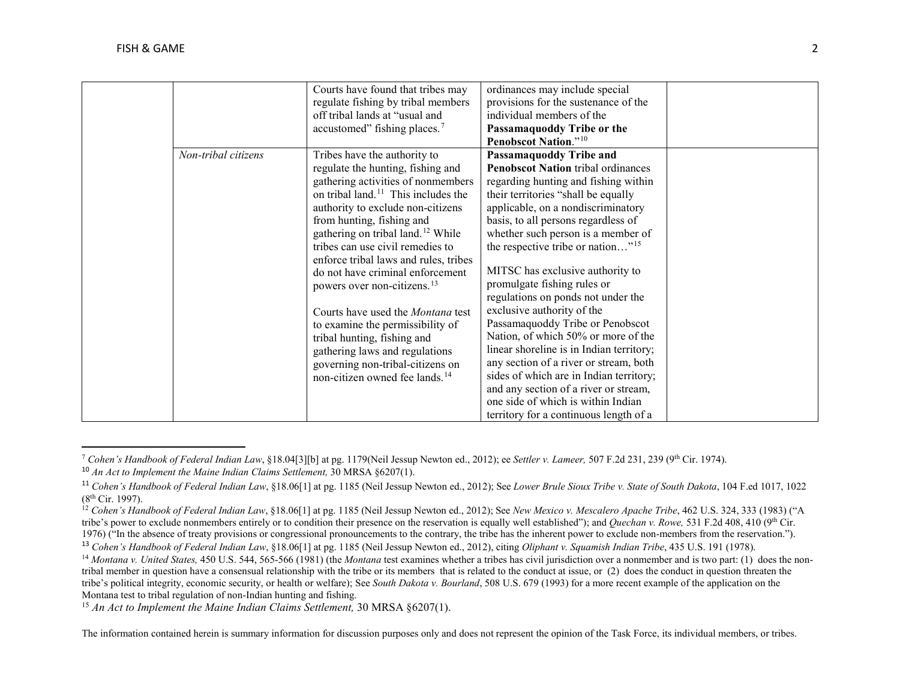l

<span id="page-1-6"></span><span id="page-1-5"></span><span id="page-1-4"></span><span id="page-1-3"></span><span id="page-1-2"></span><span id="page-1-1"></span><span id="page-1-0"></span>

|                     | Courts have found that tribes may               | ordinances may include special                |  |
|---------------------|-------------------------------------------------|-----------------------------------------------|--|
|                     | regulate fishing by tribal members              | provisions for the sustenance of the          |  |
|                     | off tribal lands at "usual and                  | individual members of the                     |  |
|                     | accustomed" fishing places. <sup>7</sup>        | Passamaquoddy Tribe or the                    |  |
|                     |                                                 | <b>Penobscot Nation.</b> "10                  |  |
| Non-tribal citizens | Tribes have the authority to                    | Passamaquoddy Tribe and                       |  |
|                     | regulate the hunting, fishing and               | <b>Penobscot Nation tribal ordinances</b>     |  |
|                     | gathering activities of nonmembers              | regarding hunting and fishing within          |  |
|                     | on tribal land. <sup>11</sup> This includes the | their territories "shall be equally           |  |
|                     | authority to exclude non-citizens               | applicable, on a nondiscriminatory            |  |
|                     | from hunting, fishing and                       | basis, to all persons regardless of           |  |
|                     | gathering on tribal land. <sup>12</sup> While   | whether such person is a member of            |  |
|                     | tribes can use civil remedies to                | the respective tribe or nation" <sup>15</sup> |  |
|                     | enforce tribal laws and rules, tribes           |                                               |  |
|                     | do not have criminal enforcement                | MITSC has exclusive authority to              |  |
|                     | powers over non-citizens. <sup>13</sup>         | promulgate fishing rules or                   |  |
|                     |                                                 | regulations on ponds not under the            |  |
|                     | Courts have used the <i>Montana</i> test        | exclusive authority of the                    |  |
|                     | to examine the permissibility of                | Passamaquoddy Tribe or Penobscot              |  |
|                     | tribal hunting, fishing and                     | Nation, of which 50% or more of the           |  |
|                     | gathering laws and regulations                  | linear shoreline is in Indian territory;      |  |
|                     | governing non-tribal-citizens on                | any section of a river or stream, both        |  |
|                     | non-citizen owned fee lands. <sup>14</sup>      | sides of which are in Indian territory;       |  |
|                     |                                                 | and any section of a river or stream,         |  |
|                     |                                                 | one side of which is within Indian            |  |
|                     |                                                 | territory for a continuous length of a        |  |

<sup>7</sup> *Cohen's Handbook of Federal Indian Law*, §18.04[3][b] at pg. 1179(Neil Jessup Newton ed., 2012); ee *Settler v. Lameer,* 507 F.2d 231, 239 (9th Cir. 1974).

<sup>&</sup>lt;sup>10</sup> An Act to Implement the Maine Indian Claims Settlement, 30 MRSA §6207(1).<br><sup>11</sup> Cohen's Handbook of Federal Indian Law, §18.06[1] at pg. 1185 (Neil Jessup Newton ed., 2012); See Lower Brule Sioux Tribe v. State of Sout (8th Cir. 1997).

<sup>&</sup>lt;sup>12</sup> Cohen's Handbook of Federal Indian Law, §18.06[1] at pg. 1185 (Neil Jessup Newton ed., 2012); See *New Mexico v. Mescalero Apache Tribe*, 462 U.S. 324, 333 (1983) ("A tribe's power to exclude nonmembers entirely or to condition their presence on the reservation is equally well established"); and *Quechan v. Rowe*, 531 F.2d 408, 410 (9<sup>th</sup> Cir. 1976) ("In the absence of treaty provisions or congressional pronouncements to the contrary, the tribe has the inherent power to exclude non-members from the reservation.").<br><sup>13</sup> Cohen's Handbook of Federal Indian Law, §1

<sup>&</sup>lt;sup>14</sup> Montana v. United States, 450 U.S. 544, 565-566 (1981) (the Montana test examines whether a tribes has civil jurisdiction over a nonmember and is two part: (1) does the nontribal member in question have a consensual relationship with the tribe or its members that is related to the conduct at issue, or (2) does the conduct in question threaten the tribe's political integrity, economic security, or health or welfare); See *South Dakota v. Bourland*, 508 U.S. 679 (1993) for a more recent example of the application on the Montana test to tribal regulation of non-Indian hunting and fishing.

<sup>&</sup>lt;sup>15</sup> An Act to Implement the Maine Indian Claims Settlement, 30 MRSA §6207(1).

The information contained herein is summary information for discussion purposes only and does not represent the opinion of the Task Force, its individual members, or tribes.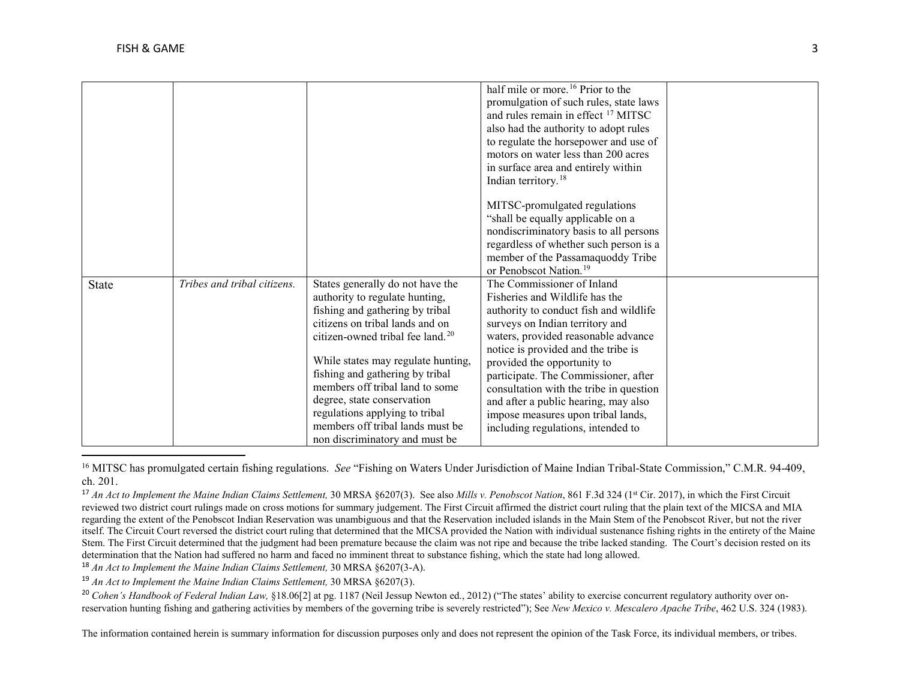$\overline{\phantom{a}}$ 

<span id="page-2-4"></span><span id="page-2-3"></span><span id="page-2-2"></span><span id="page-2-1"></span><span id="page-2-0"></span>

|       |                             |                                              | half mile or more. <sup>16</sup> Prior to the  |  |
|-------|-----------------------------|----------------------------------------------|------------------------------------------------|--|
|       |                             |                                              |                                                |  |
|       |                             |                                              | promulgation of such rules, state laws         |  |
|       |                             |                                              | and rules remain in effect <sup>17</sup> MITSC |  |
|       |                             |                                              | also had the authority to adopt rules          |  |
|       |                             |                                              | to regulate the horsepower and use of          |  |
|       |                             |                                              | motors on water less than 200 acres            |  |
|       |                             |                                              | in surface area and entirely within            |  |
|       |                             |                                              | Indian territory. <sup>18</sup>                |  |
|       |                             |                                              |                                                |  |
|       |                             |                                              | MITSC-promulgated regulations                  |  |
|       |                             |                                              | "shall be equally applicable on a              |  |
|       |                             |                                              | nondiscriminatory basis to all persons         |  |
|       |                             |                                              | regardless of whether such person is a         |  |
|       |                             |                                              | member of the Passamaquoddy Tribe              |  |
|       |                             |                                              | or Penobscot Nation. <sup>19</sup>             |  |
|       |                             |                                              |                                                |  |
| State | Tribes and tribal citizens. | States generally do not have the             | The Commissioner of Inland                     |  |
|       |                             | authority to regulate hunting,               | Fisheries and Wildlife has the                 |  |
|       |                             | fishing and gathering by tribal              | authority to conduct fish and wildlife         |  |
|       |                             | citizens on tribal lands and on              | surveys on Indian territory and                |  |
|       |                             | citizen-owned tribal fee land. <sup>20</sup> | waters, provided reasonable advance            |  |
|       |                             |                                              | notice is provided and the tribe is            |  |
|       |                             | While states may regulate hunting,           | provided the opportunity to                    |  |
|       |                             | fishing and gathering by tribal              | participate. The Commissioner, after           |  |
|       |                             | members off tribal land to some              | consultation with the tribe in question        |  |
|       |                             | degree, state conservation                   | and after a public hearing, may also           |  |
|       |                             | regulations applying to tribal               | impose measures upon tribal lands,             |  |
|       |                             | members off tribal lands must be             | including regulations, intended to             |  |
|       |                             | non discriminatory and must be               |                                                |  |
|       |                             |                                              |                                                |  |

<sup>16</sup> MITSC has promulgated certain fishing regulations. *See* "Fishing on Waters Under Jurisdiction of Maine Indian Tribal-State Commission," C.M.R. 94-409, ch. 201.

<sup>17</sup> An Act to Implement the Maine Indian Claims Settlement, 30 MRSA §6207(3). See also Mills v. Penobscot Nation, 861 F.3d 324 (1<sup>st</sup> Cir. 2017), in which the First Circuit reviewed two district court rulings made on cross motions for summary judgement. The First Circuit affirmed the district court ruling that the plain text of the MICSA and MIA regarding the extent of the Penobscot Indian Reservation was unambiguous and that the Reservation included islands in the Main Stem of the Penobscot River, but not the river itself. The Circuit Court reversed the district court ruling that determined that the MICSA provided the Nation with individual sustenance fishing rights in the entirety of the Maine Stem. The First Circuit determined that the judgment had been premature because the claim was not ripe and because the tribe lacked standing. The Court's decision rested on its determination that the Nation had suffered no harm and faced no imminent threat to substance fishing, which the state had long allowed.<br><sup>18</sup> An Act to Implement the Maine Indian Claims Settlement, 30 MRSA §6207(3-A).

<sup>19</sup> An Act to Implement the Maine Indian Claims Settlement, 30 MRSA §6207(3).<br><sup>20</sup> Cohen's Handbook of Federal Indian Law, §18.06[2] at pg. 1187 (Neil Jessup Newton ed., 2012) ("The states' ability to exercise concurrent reservation hunting fishing and gathering activities by members of the governing tribe is severely restricted"); See *New Mexico v. Mescalero Apache Tribe*, 462 U.S. 324 (1983).

The information contained herein is summary information for discussion purposes only and does not represent the opinion of the Task Force, its individual members, or tribes.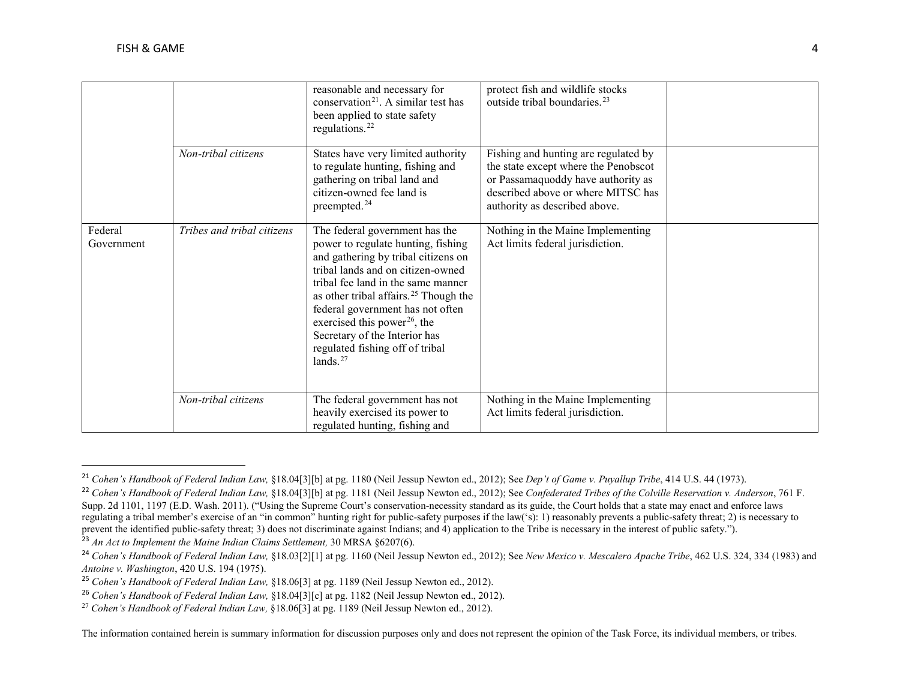<span id="page-3-6"></span><span id="page-3-5"></span><span id="page-3-4"></span><span id="page-3-3"></span><span id="page-3-2"></span><span id="page-3-1"></span><span id="page-3-0"></span>

|                       |                            | reasonable and necessary for<br>conservation <sup>21</sup> . A similar test has<br>been applied to state safety<br>regulations. <sup>22</sup>                                                                                                                                                                                                                                                                  | protect fish and wildlife stocks<br>outside tribal boundaries. <sup>23</sup>                                                                                                              |  |
|-----------------------|----------------------------|----------------------------------------------------------------------------------------------------------------------------------------------------------------------------------------------------------------------------------------------------------------------------------------------------------------------------------------------------------------------------------------------------------------|-------------------------------------------------------------------------------------------------------------------------------------------------------------------------------------------|--|
|                       | Non-tribal citizens        | States have very limited authority<br>to regulate hunting, fishing and<br>gathering on tribal land and<br>citizen-owned fee land is<br>preempted. <sup>24</sup>                                                                                                                                                                                                                                                | Fishing and hunting are regulated by<br>the state except where the Penobscot<br>or Passamaquoddy have authority as<br>described above or where MITSC has<br>authority as described above. |  |
| Federal<br>Government | Tribes and tribal citizens | The federal government has the<br>power to regulate hunting, fishing<br>and gathering by tribal citizens on<br>tribal lands and on citizen-owned<br>tribal fee land in the same manner<br>as other tribal affairs. <sup>25</sup> Though the<br>federal government has not often<br>exercised this power <sup>26</sup> , the<br>Secretary of the Interior has<br>regulated fishing off of tribal<br>lands. $27$ | Nothing in the Maine Implementing<br>Act limits federal jurisdiction.                                                                                                                     |  |
|                       | Non-tribal citizens        | The federal government has not<br>heavily exercised its power to<br>regulated hunting, fishing and                                                                                                                                                                                                                                                                                                             | Nothing in the Maine Implementing<br>Act limits federal jurisdiction.                                                                                                                     |  |

 <sup>21</sup> *Cohen's Handbook of Federal Indian Law,* §18.04[3][b] at pg. 1180 (Neil Jessup Newton ed., 2012); See *Dep't of Game v. Puyallup Tribe*, 414 U.S. 44 (1973).

<sup>22</sup> *Cohen's Handbook of Federal Indian Law,* §18.04[3][b] at pg. 1181 (Neil Jessup Newton ed., 2012); See *Confederated Tribes of the Colville Reservation v. Anderson*, 761 F. Supp. 2d 1101, 1197 (E.D. Wash. 2011). ("Using the Supreme Court's conservation-necessity standard as its guide, the Court holds that a state may enact and enforce laws regulating a tribal member's exercise of an "in common" hunting right for public-safety purposes if the law('s): 1) reasonably prevents a public-safety threat; 2) is necessary to prevent the identified public-safety threat; 3) does not discriminate against Indians; and 4) application to the Tribe is necessary in the interest of public safety.").<br><sup>23</sup> An Act to Implement the Maine Indian Claims Set

<sup>&</sup>lt;sup>24</sup> Cohen's Handbook of Federal Indian Law, §18.03[2][1] at pg. 1160 (Neil Jessup Newton ed., 2012); See New Mexico v. Mescalero Apache Tribe, 462 U.S. 324, 334 (1983) and *Antoine v. Washington*, 420 U.S. 194 (1975).

<sup>25</sup> *Cohen's Handbook of Federal Indian Law,* §18.06[3] at pg. 1189 (Neil Jessup Newton ed., 2012).

<sup>26</sup> *Cohen's Handbook of Federal Indian Law,* §18.04[3][c] at pg. 1182 (Neil Jessup Newton ed., 2012).

<sup>27</sup> *Cohen's Handbook of Federal Indian Law,* §18.06[3] at pg. 1189 (Neil Jessup Newton ed., 2012).

The information contained herein is summary information for discussion purposes only and does not represent the opinion of the Task Force, its individual members, or tribes.